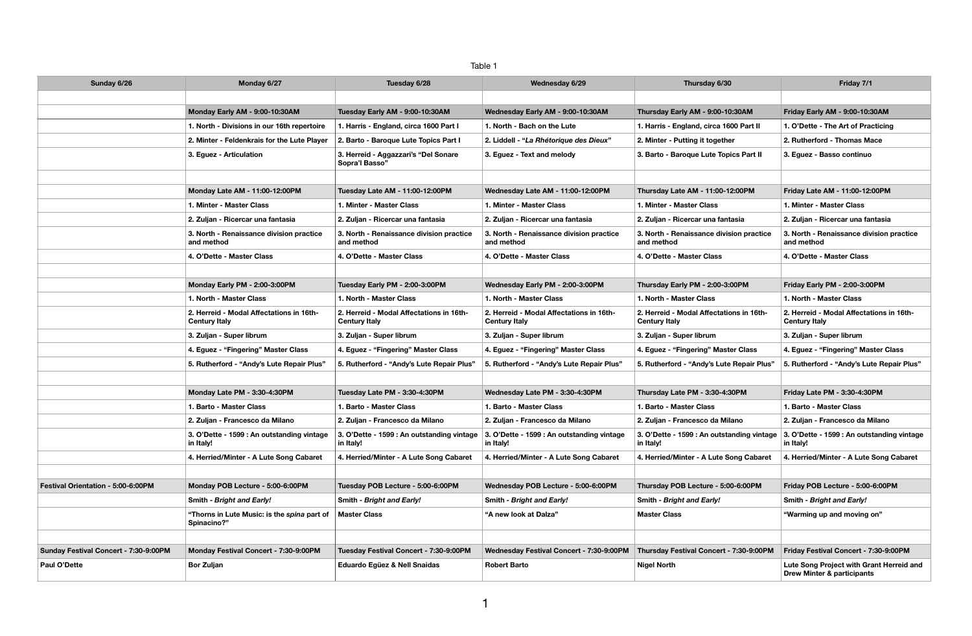#### Table 1

| Sunday 6/26                           | Monday 6/27                                                      | Tuesday 6/28                                                     | Wednesday 6/29                                                   | Thursday 6/30                                                    | Friday 7/1                                                             |
|---------------------------------------|------------------------------------------------------------------|------------------------------------------------------------------|------------------------------------------------------------------|------------------------------------------------------------------|------------------------------------------------------------------------|
|                                       |                                                                  |                                                                  |                                                                  |                                                                  |                                                                        |
|                                       | Monday Early AM - 9:00-10:30AM                                   | Tuesday Early AM - 9:00-10:30AM                                  | Wednesday Early AM - 9:00-10:30AM                                | Thursday Early AM - 9:00-10:30AM                                 | Friday Early AM - 9:00-10:30AM                                         |
|                                       | 1. North - Divisions in our 16th repertoire                      | 1. Harris - England, circa 1600 Part I                           | 1. North - Bach on the Lute                                      | 1. Harris - England, circa 1600 Part II                          | 1. O'Dette - The Art of Practicing                                     |
|                                       | 2. Minter - Feldenkrais for the Lute Player                      | 2. Barto - Baroque Lute Topics Part I                            | 2. Liddell - "La Rhétorique des Dieux"                           | 2. Minter - Putting it together                                  | 2. Rutherford - Thomas Mace                                            |
|                                       | 3. Eguez - Articulation                                          | 3. Herreid - Aggazzari's "Del Sonare<br>Sopra'l Basso"           | 3. Equez - Text and melody                                       | 3. Barto - Baroque Lute Topics Part II                           | 3. Eguez - Basso continuo                                              |
|                                       |                                                                  |                                                                  |                                                                  |                                                                  |                                                                        |
|                                       | Monday Late AM - 11:00-12:00PM                                   | Tuesday Late AM - 11:00-12:00PM                                  | Wednesday Late AM - 11:00-12:00PM                                | Thursday Late AM - 11:00-12:00PM                                 | Friday Late AM - 11:00-12:00PM                                         |
|                                       | 1. Minter - Master Class                                         | 1. Minter - Master Class                                         | 1. Minter - Master Class                                         | 1. Minter - Master Class                                         | 1. Minter - Master Class                                               |
|                                       | 2. Zuljan - Ricercar una fantasia                                | 2. Zuljan - Ricercar una fantasia                                | 2. Zuljan - Ricercar una fantasia                                | 2. Zuljan - Ricercar una fantasia                                | 2. Zuljan - Ricercar una fantasia                                      |
|                                       | 3. North - Renaissance division practice<br>and method           | 3. North - Renaissance division practice<br>and method           | 3. North - Renaissance division practice<br>and method           | 3. North - Renaissance division practice<br>and method           | 3. North - Renaissance division practice<br>and method                 |
|                                       | 4. O'Dette - Master Class                                        | 4. O'Dette - Master Class                                        | 4. O'Dette - Master Class                                        | 4. O'Dette - Master Class                                        | 4. O'Dette - Master Class                                              |
|                                       |                                                                  |                                                                  |                                                                  |                                                                  |                                                                        |
|                                       | Monday Early PM - 2:00-3:00PM                                    | Tuesday Early PM - 2:00-3:00PM                                   | Wednesday Early PM - 2:00-3:00PM                                 | Thursday Early PM - 2:00-3:00PM                                  | Friday Early PM - 2:00-3:00PM                                          |
|                                       | 1. North - Master Class                                          | 1. North - Master Class                                          | 1. North - Master Class                                          | 1. North - Master Class                                          | 1. North - Master Class                                                |
|                                       | 2. Herreid - Modal Affectations in 16th-<br><b>Century Italy</b> | 2. Herreid - Modal Affectations in 16th-<br><b>Century Italy</b> | 2. Herreid - Modal Affectations in 16th-<br><b>Century Italy</b> | 2. Herreid - Modal Affectations in 16th-<br><b>Century Italy</b> | 2. Herreid - Modal Affectations in 16th-<br><b>Century Italy</b>       |
|                                       | 3. Zuljan - Super librum                                         | 3. Zuljan - Super librum                                         | 3. Zuljan - Super librum                                         | 3. Zuljan - Super librum                                         | 3. Zuljan - Super librum                                               |
|                                       | 4. Eguez - "Fingering" Master Class                              | 4. Equez - "Fingering" Master Class                              | 4. Eguez - "Fingering" Master Class                              | 4. Eguez - "Fingering" Master Class                              | 4. Eguez - "Fingering" Master Class                                    |
|                                       | 5. Rutherford - "Andy's Lute Repair Plus"                        | 5. Rutherford - "Andy's Lute Repair Plus"                        | 5. Rutherford - "Andy's Lute Repair Plus'                        | 5. Rutherford - "Andy's Lute Repair Plus"                        | 5. Rutherford - "Andy's Lute Repair Plus"                              |
|                                       |                                                                  |                                                                  |                                                                  |                                                                  |                                                                        |
|                                       | Monday Late PM - 3:30-4:30PM                                     | Tuesday Late PM - 3:30-4:30PM                                    | Wednesday Late PM - 3:30-4:30PM                                  | Thursday Late PM - 3:30-4:30PM                                   | Friday Late PM - 3:30-4:30PM                                           |
|                                       | 1. Barto - Master Class                                          | 1. Barto - Master Class                                          | 1. Barto - Master Class                                          | 1. Barto - Master Class                                          | 1. Barto - Master Class                                                |
|                                       | 2. Zuljan - Francesco da Milano                                  | 2. Zuljan - Francesco da Milano                                  | 2. Zuljan - Francesco da Milano                                  | 2. Zuljan - Francesco da Milano                                  | 2. Zuljan - Francesco da Milano                                        |
|                                       | 3. O'Dette - 1599 : An outstanding vintage<br>in Italy!          | 3. O'Dette - 1599 : An outstanding vintage<br>in Italy!          | 3. O'Dette - 1599 : An outstanding vintage<br>in Italy!          | 3. O'Dette - 1599 : An outstanding vintage<br>in Italy!          | 3. O'Dette - 1599 : An outstanding vintage<br>in Italy!                |
|                                       | 4. Herried/Minter - A Lute Song Cabaret                          | 4. Herried/Minter - A Lute Song Cabaret                          | 4. Herried/Minter - A Lute Song Cabaret                          | 4. Herried/Minter - A Lute Song Cabaret                          | 4. Herried/Minter - A Lute Song Cabaret                                |
|                                       |                                                                  |                                                                  |                                                                  |                                                                  |                                                                        |
| Festival Orientation - 5:00-6:00PM    | Monday POB Lecture - 5:00-6:00PM                                 | Tuesday POB Lecture - 5:00-6:00PM                                | Wednesday POB Lecture - 5:00-6:00PM                              | Thursday POB Lecture - 5:00-6:00PM                               | Friday POB Lecture - 5:00-6:00PM                                       |
|                                       | Smith - Bright and Early!                                        | Smith - Bright and Early!                                        | Smith - Bright and Early!                                        | Smith - Bright and Early!                                        | Smith - Bright and Early!                                              |
|                                       | "Thorns in Lute Music: is the spina part of<br>Spinacino?"       | <b>Master Class</b>                                              | "A new look at Dalza"                                            | <b>Master Class</b>                                              | "Warming up and moving on"                                             |
|                                       |                                                                  |                                                                  |                                                                  |                                                                  |                                                                        |
| Sunday Festival Concert - 7:30-9:00PM | Monday Festival Concert - 7:30-9:00PM                            | Tuesday Festival Concert - 7:30-9:00PM                           | Wednesday Festival Concert - 7:30-9:00PM                         | Thursday Festival Concert - 7:30-9:00PM                          | Friday Festival Concert - 7:30-9:00PM                                  |
| Paul O'Dette                          | <b>Bor Zuljan</b>                                                | Eduardo Egüez & Nell Snaidas                                     | <b>Robert Barto</b>                                              | <b>Nigel North</b>                                               | Lute Song Project with Grant Herreid and<br>Drew Minter & participants |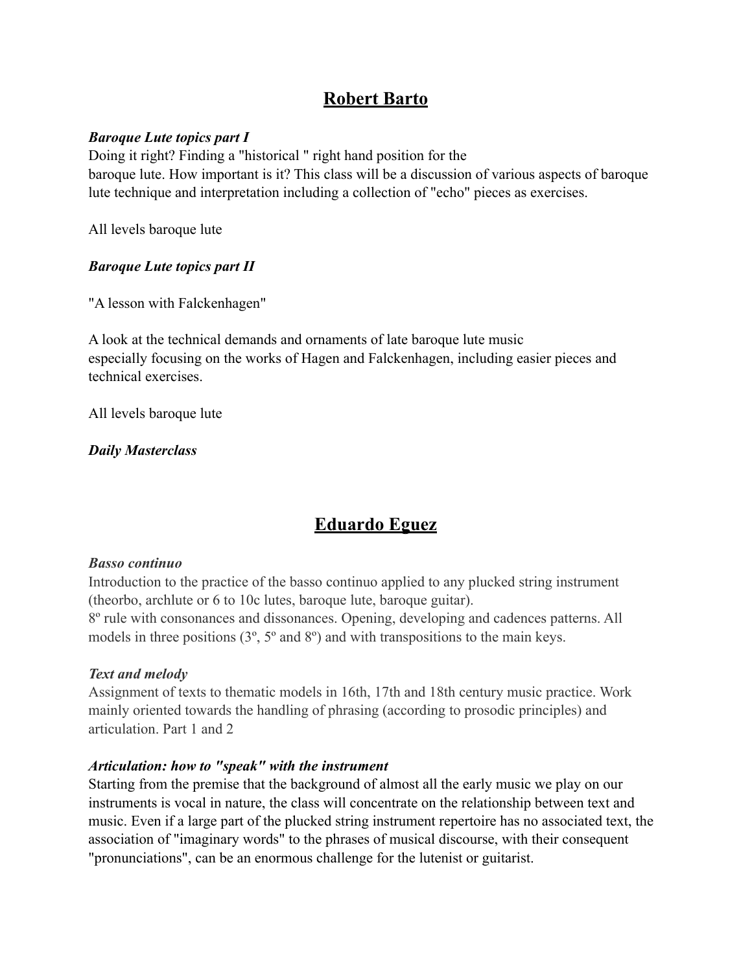### **Robert Barto**

### *Baroque Lute topics part I*

Doing it right? Finding a "historical " right hand position for the baroque lute. How important is it? This class will be a discussion of various aspects of baroque lute technique and interpretation including a collection of "echo" pieces as exercises.

All levels baroque lute

### *Baroque Lute topics part II*

"A lesson with Falckenhagen"

A look at the technical demands and ornaments of late baroque lute music especially focusing on the works of Hagen and Falckenhagen, including easier pieces and technical exercises.

All levels baroque lute

*Daily Masterclass*

# **Eduardo Eguez**

### *Basso continuo*

Introduction to the practice of the basso continuo applied to any plucked string instrument (theorbo, archlute or 6 to 10c lutes, baroque lute, baroque guitar).

8º rule with consonances and dissonances. Opening, developing and cadences patterns. All models in three positions (3º, 5º and 8º) and with transpositions to the main keys.

### *Text and melody*

Assignment of texts to thematic models in 16th, 17th and 18th century music practice. Work mainly oriented towards the handling of phrasing (according to prosodic principles) and articulation. Part 1 and 2

### *Articulation: how to "speak" with the instrument*

Starting from the premise that the background of almost all the early music we play on our instruments is vocal in nature, the class will concentrate on the relationship between text and music. Even if a large part of the plucked string instrument repertoire has no associated text, the association of "imaginary words" to the phrases of musical discourse, with their consequent "pronunciations", can be an enormous challenge for the lutenist or guitarist.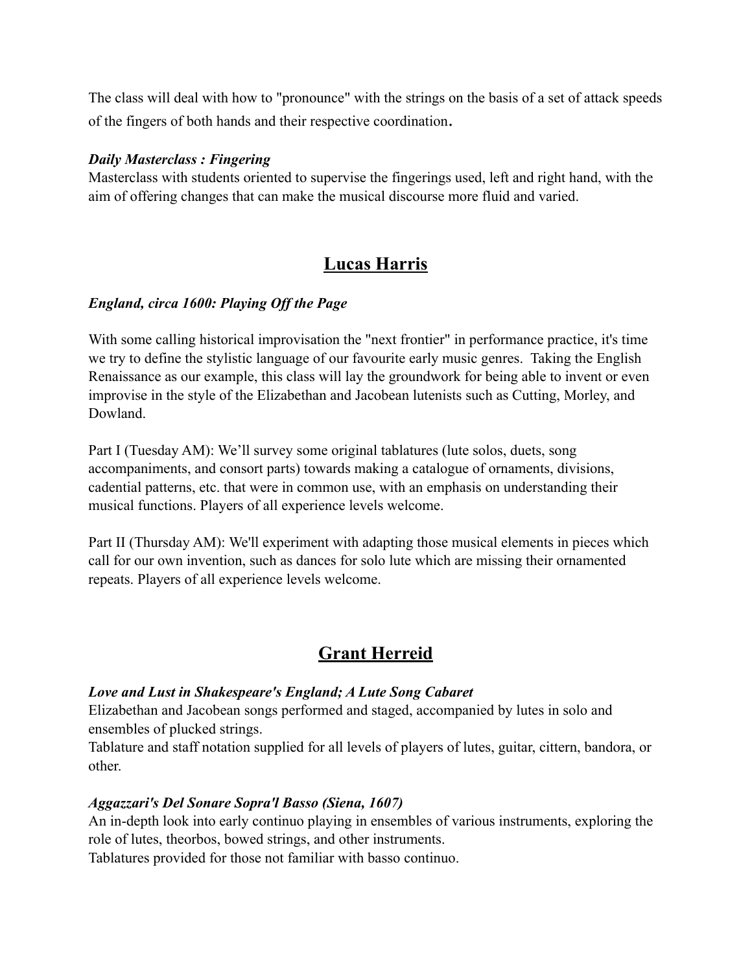The class will deal with how to "pronounce" with the strings on the basis of a set of attack speeds of the fingers of both hands and their respective coordination.

#### *Daily Masterclass : Fingering*

Masterclass with students oriented to supervise the fingerings used, left and right hand, with the aim of offering changes that can make the musical discourse more fluid and varied.

### **Lucas Harris**

### *England, circa 1600: Playing Off the Page*

With some calling historical improvisation the "next frontier" in performance practice, it's time we try to define the stylistic language of our favourite early music genres. Taking the English Renaissance as our example, this class will lay the groundwork for being able to invent or even improvise in the style of the Elizabethan and Jacobean lutenists such as Cutting, Morley, and Dowland.

Part I (Tuesday AM): We'll survey some original tablatures (lute solos, duets, song accompaniments, and consort parts) towards making a catalogue of ornaments, divisions, cadential patterns, etc. that were in common use, with an emphasis on understanding their musical functions. Players of all experience levels welcome.

Part II (Thursday AM): We'll experiment with adapting those musical elements in pieces which call for our own invention, such as dances for solo lute which are missing their ornamented repeats. Players of all experience levels welcome.

### **Grant Herreid**

### *Love and Lust in Shakespeare's England; A Lute Song Cabaret*

Elizabethan and Jacobean songs performed and staged, accompanied by lutes in solo and ensembles of plucked strings.

Tablature and staff notation supplied for all levels of players of lutes, guitar, cittern, bandora, or other.

### *Aggazzari's Del Sonare Sopra'l Basso (Siena, 1607)*

An in-depth look into early continuo playing in ensembles of various instruments, exploring the role of lutes, theorbos, bowed strings, and other instruments.

Tablatures provided for those not familiar with basso continuo.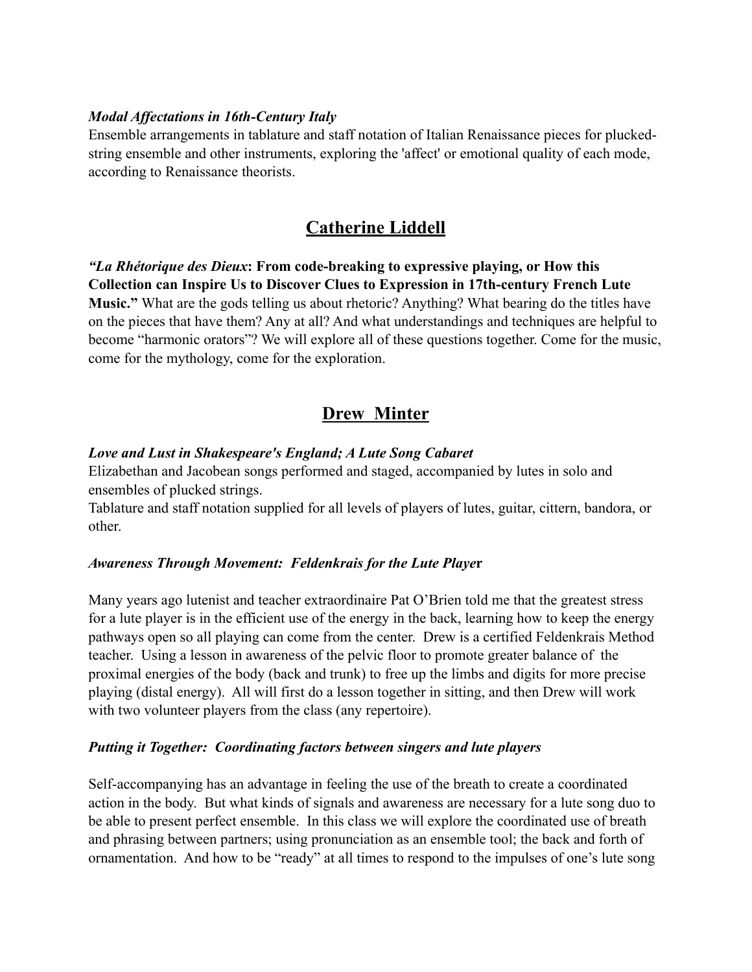### *Modal Affectations in 16th-Century Italy*

Ensemble arrangements in tablature and staff notation of Italian Renaissance pieces for pluckedstring ensemble and other instruments, exploring the 'affect' or emotional quality of each mode, according to Renaissance theorists.

### **Catherine Liddell**

*"La Rhétorique des Dieux***: From code-breaking to expressive playing, or How this Collection can Inspire Us to Discover Clues to Expression in 17th-century French Lute Music."** What are the gods telling us about rhetoric? Anything? What bearing do the titles have on the pieces that have them? Any at all? And what understandings and techniques are helpful to become "harmonic orators"? We will explore all of these questions together. Come for the music, come for the mythology, come for the exploration.

### **Drew Minter**

### *Love and Lust in Shakespeare's England; A Lute Song Cabaret*

Elizabethan and Jacobean songs performed and staged, accompanied by lutes in solo and ensembles of plucked strings.

Tablature and staff notation supplied for all levels of players of lutes, guitar, cittern, bandora, or other.

### *Awareness Through Movement: Feldenkrais for the Lute Playe***r**

Many years ago lutenist and teacher extraordinaire Pat O'Brien told me that the greatest stress for a lute player is in the efficient use of the energy in the back, learning how to keep the energy pathways open so all playing can come from the center. Drew is a certified Feldenkrais Method teacher. Using a lesson in awareness of the pelvic floor to promote greater balance of the proximal energies of the body (back and trunk) to free up the limbs and digits for more precise playing (distal energy). All will first do a lesson together in sitting, and then Drew will work with two volunteer players from the class (any repertoire).

### *Putting it Together: Coordinating factors between singers and lute players*

Self-accompanying has an advantage in feeling the use of the breath to create a coordinated action in the body. But what kinds of signals and awareness are necessary for a lute song duo to be able to present perfect ensemble. In this class we will explore the coordinated use of breath and phrasing between partners; using pronunciation as an ensemble tool; the back and forth of ornamentation. And how to be "ready" at all times to respond to the impulses of one's lute song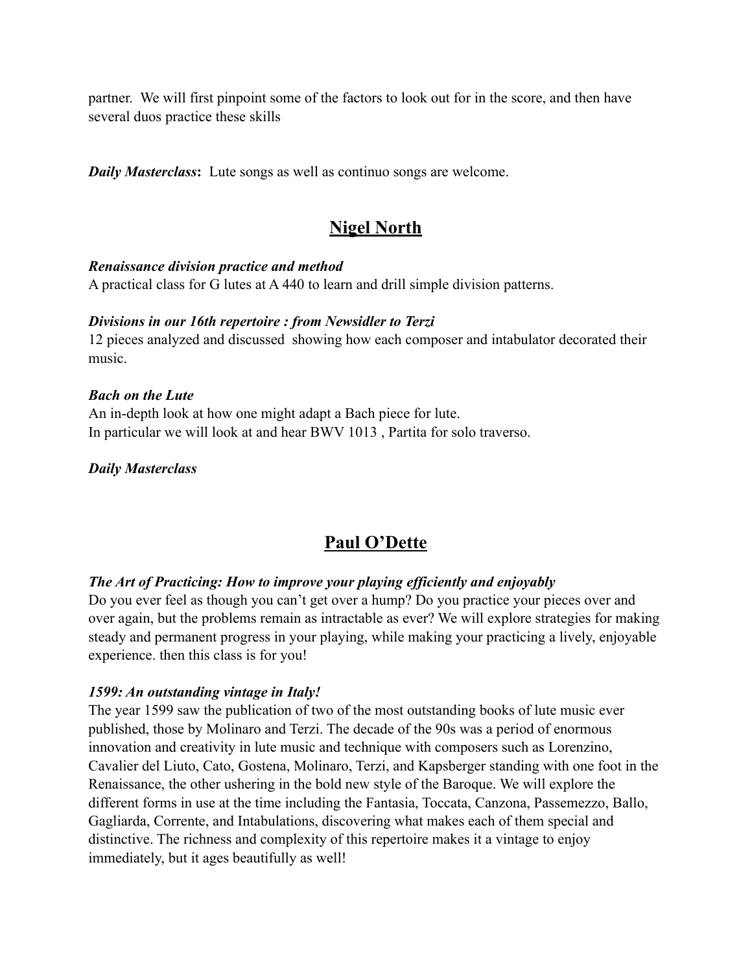partner. We will first pinpoint some of the factors to look out for in the score, and then have several duos practice these skills

*Daily Masterclass***:** Lute songs as well as continuo songs are welcome.

### **Nigel North**

#### *Renaissance division practice and method*

A practical class for G lutes at A 440 to learn and drill simple division patterns.

#### *Divisions in our 16th repertoire : from Newsidler to Terzi*

12 pieces analyzed and discussed showing how each composer and intabulator decorated their music.

#### *Bach on the Lute*

An in-depth look at how one might adapt a Bach piece for lute. In particular we will look at and hear BWV 1013 , Partita for solo traverso.

#### *Daily Masterclass*

### **Paul O'Dette**

### *The Art of Practicing: How to improve your playing efficiently and enjoyably*

Do you ever feel as though you can't get over a hump? Do you practice your pieces over and over again, but the problems remain as intractable as ever? We will explore strategies for making steady and permanent progress in your playing, while making your practicing a lively, enjoyable experience. then this class is for you!

### *1599: An outstanding vintage in Italy!*

The year 1599 saw the publication of two of the most outstanding books of lute music ever published, those by Molinaro and Terzi. The decade of the 90s was a period of enormous innovation and creativity in lute music and technique with composers such as Lorenzino, Cavalier del Liuto, Cato, Gostena, Molinaro, Terzi, and Kapsberger standing with one foot in the Renaissance, the other ushering in the bold new style of the Baroque. We will explore the different forms in use at the time including the Fantasia, Toccata, Canzona, Passemezzo, Ballo, Gagliarda, Corrente, and Intabulations, discovering what makes each of them special and distinctive. The richness and complexity of this repertoire makes it a vintage to enjoy immediately, but it ages beautifully as well!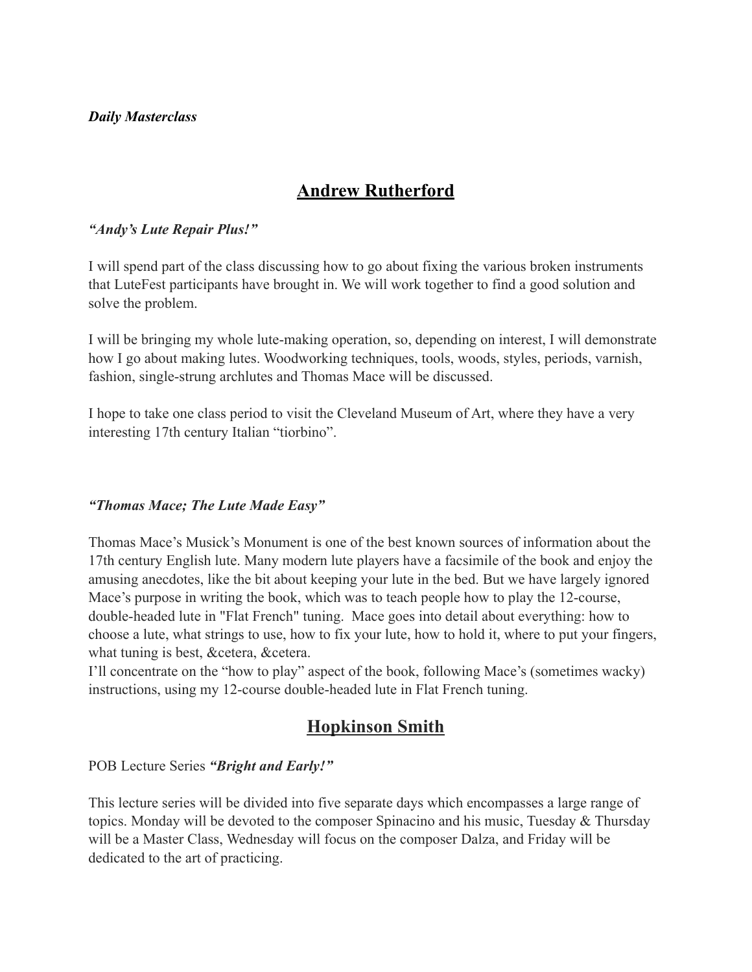#### *Daily Masterclass*

## **Andrew Rutherford**

#### *"Andy's Lute Repair Plus!"*

I will spend part of the class discussing how to go about fixing the various broken instruments that LuteFest participants have brought in. We will work together to find a good solution and solve the problem.

I will be bringing my whole lute-making operation, so, depending on interest, I will demonstrate how I go about making lutes. Woodworking techniques, tools, woods, styles, periods, varnish, fashion, single-strung archlutes and Thomas Mace will be discussed.

I hope to take one class period to visit the Cleveland Museum of Art, where they have a very interesting 17th century Italian "tiorbino".

### *"Thomas Mace; The Lute Made Easy"*

Thomas Mace's Musick's Monument is one of the best known sources of information about the 17th century English lute. Many modern lute players have a facsimile of the book and enjoy the amusing anecdotes, like the bit about keeping your lute in the bed. But we have largely ignored Mace's purpose in writing the book, which was to teach people how to play the 12-course, double-headed lute in "Flat French" tuning. Mace goes into detail about everything: how to choose a lute, what strings to use, how to fix your lute, how to hold it, where to put your fingers, what tuning is best, &cetera, &cetera.

I'll concentrate on the "how to play" aspect of the book, following Mace's (sometimes wacky) instructions, using my 12-course double-headed lute in Flat French tuning.

### **Hopkinson Smith**

POB Lecture Series *"Bright and Early!"*

This lecture series will be divided into five separate days which encompasses a large range of topics. Monday will be devoted to the composer Spinacino and his music, Tuesday & Thursday will be a Master Class, Wednesday will focus on the composer Dalza, and Friday will be dedicated to the art of practicing.